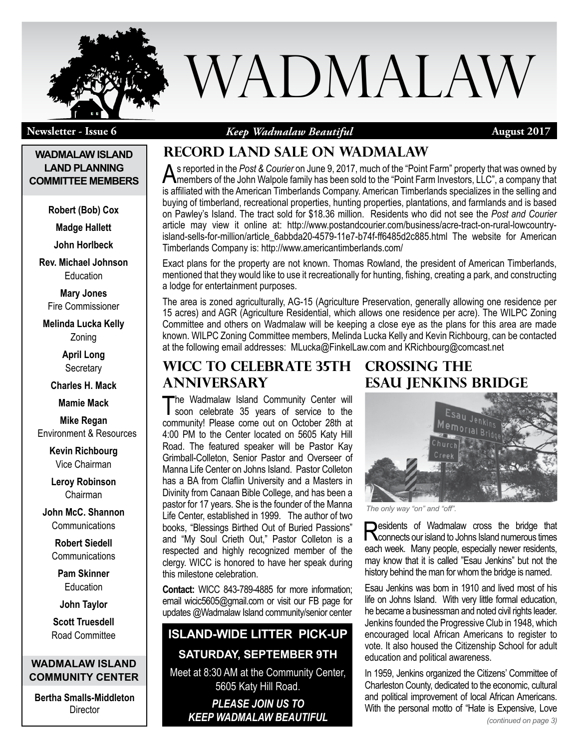

**Newsletter - Issue 6**

*Keep Wadmalaw Beautiful*

**August 2017**

### **WADMALAW ISLAND LAND PLANNING COMMITTEE MEMBERS**

**Robert (Bob) Cox**

**Madge Hallett**

**John Horlbeck**

**Rev. Michael Johnson** Education

**Mary Jones** Fire Commissioner

**Melinda Lucka Kelly** Zoning

> **April Long Secretary**

**Charles H. Mack**

**Mamie Mack**

**Mike Regan** Environment & Resources

> **Kevin Richbourg** Vice Chairman

**Leroy Robinson** Chairman

**John McC. Shannon Communications** 

> **Robert Siedell Communications**

**Pam Skinner Education** 

**John Taylor**

**Scott Truesdell** Road Committee

**WADMALAW ISLAND COMMUNITY CENTER**

**Bertha Smalls-Middleton Director** 

# **Record land sale on wadmalaw**

As reported in the *Post & Courier* on June 9, 2017, much of the "Point Farm" property that was owned by members of the John Walpole family has been sold to the "Point Farm Investors, LLC", a company that is affiliated with the American Timberlands Company. American Timberlands specializes in the selling and buying of timberland, recreational properties, hunting properties, plantations, and farmlands and is based on Pawley's Island. The tract sold for \$18.36 million. Residents who did not see the *Post and Courier* article may view it online at: http://www.postandcourier.com/business/acre-tract-on-rural-lowcountryisland-sells-for-million/article\_6abbda20-4579-11e7-b74f-ff6485d2c885.html The website for American Timberlands Company is: http://www.americantimberlands.com/

Exact plans for the property are not known. Thomas Rowland, the president of American Timberlands, mentioned that they would like to use it recreationally for hunting, fishing, creating a park, and constructing a lodge for entertainment purposes.

The area is zoned agriculturally, AG-15 (Agriculture Preservation, generally allowing one residence per 15 acres) and AGR (Agriculture Residential, which allows one residence per acre). The WILPC Zoning Committee and others on Wadmalaw will be keeping a close eye as the plans for this area are made known. WILPC Zoning Committee members, Melinda Lucka Kelly and Kevin Richbourg, can be contacted at the following email addresses: MLucka@FinkelLaw.com and KRichbourg@comcast.net

# **WICC to celebrate 35th anniversary**

The Wadmalaw Island Community Center will<br>
soon celebrate 35 years of service to the community! Please come out on October 28th at 4:00 PM to the Center located on 5605 Katy Hill Road. The featured speaker will be Pastor Kay Grimball-Colleton, Senior Pastor and Overseer of Manna Life Center on Johns Island. Pastor Colleton has a BA from Claflin University and a Masters in Divinity from Canaan Bible College, and has been a pastor for 17 years. She is the founder of the Manna Life Center, established in 1999. The author of two books, "Blessings Birthed Out of Buried Passions" and "My Soul Crieth Out," Pastor Colleton is a respected and highly recognized member of the clergy. WICC is honored to have her speak during this milestone celebration.

**Contact:** WICC 843-789-4885 for more information; email wicic5605@gmail.com or visit our FB page for updates @Wadmalaw Island community/senior center

# **Island-wide Litter Pick-up**

## **Saturday, September 9th**

Meet at 8:30 AM at the Community Center, 5605 Katy Hill Road.

*Please join us to keep Wadmalaw Beautiful*

# **Crossing the esau jenkins bridge**



*The only way "on" and "off".*

**Desidents of Wadmalaw cross the bridge that N** connects our island to Johns Island numerous times each week. Many people, especially newer residents, may know that it is called "Esau Jenkins" but not the history behind the man for whom the bridge is named.

Esau Jenkins was born in 1910 and lived most of his life on Johns Island. With very little formal education, he became a businessman and noted civil rights leader. Jenkins founded the Progressive Club in 1948, which encouraged local African Americans to register to vote. It also housed the Citizenship School for adult education and political awareness.

In 1959, Jenkins organized the Citizens' Committee of Charleston County, dedicated to the economic, cultural and political improvement of local African Americans. With the personal motto of "Hate is Expensive, Love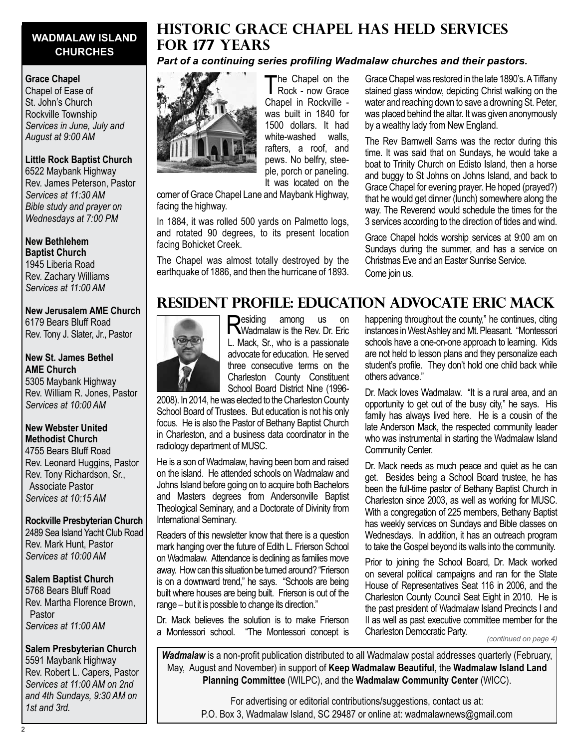# **WADMALAW ISLAND CHURCHES**

#### **Grace Chapel**

Chapel of Ease of St. John's Church Rockville Township *Services in June, July and August at 9:00 AM*

#### **Little Rock Baptist Church**

6522 Maybank Highway Rev. James Peterson, Pastor *Services at 11:30 AM Bible study and prayer on Wednesdays at 7:00 PM*

**New Bethlehem Baptist Church** 1945 Liberia Road Rev. Zachary Williams *Services at 11:00 AM*

# **New Jerusalem AME Church**

6179 Bears Bluff Road Rev. Tony J. Slater, Jr., Pastor

### **New St. James Bethel AME Church** 5305 Maybank Highway

Rev. William R. Jones, Pastor *Services at 10:00 AM*

### **New Webster United Methodist Church**

4755 Bears Bluff Road Rev. Leonard Huggins, Pastor Rev. Tony Richardson, Sr., Associate Pastor *Services at 10:15 AM*

#### **Rockville Presbyterian Church** 2489 Sea Island Yacht Club Road

Rev. Mark Hunt, Pastor *Services at 10:00 AM*

### **Salem Baptist Church**

5768 Bears Bluff Road Rev. Martha Florence Brown, Pastor *Services at 11:00 AM*

### **Salem Presbyterian Church**

5591 Maybank Highway Rev. Robert L. Capers, Pastor *Services at 11:00 AM on 2nd and 4th Sundays, 9:30 AM on 1st and 3rd.*

# **Historic grace chapel has held services for 177 years**

### *Part of a continuing series profiling Wadmalaw churches and their pastors.*



The Chapel on the<br>
Rock - now Grace Chapel in Rockville was built in 1840 for 1500 dollars. It had white-washed walls, rafters, a roof, and pews. No belfry, steeple, porch or paneling. It was located on the

corner of Grace Chapel Lane and Maybank Highway, facing the highway.

In 1884, it was rolled 500 yards on Palmetto logs, and rotated 90 degrees, to its present location facing Bohicket Creek.

The Chapel was almost totally destroyed by the earthquake of 1886, and then the hurricane of 1893. Grace Chapel was restored in the late 1890's. A Tiffany stained glass window, depicting Christ walking on the water and reaching down to save a drowning St. Peter, was placed behind the altar. It was given anonymously by a wealthy lady from New England.

The Rev Barnwell Sams was the rector during this time. It was said that on Sundays, he would take a boat to Trinity Church on Edisto Island, then a horse and buggy to St Johns on Johns Island, and back to Grace Chapel for evening prayer. He hoped (prayed?) that he would get dinner (lunch) somewhere along the way. The Reverend would schedule the times for the 3 services according to the direction of tides and wind.

Grace Chapel holds worship services at 9:00 am on Sundays during the summer, and has a service on Christmas Eve and an Easter Sunrise Service. Come join us.

# **Resident Profile: Education Advocate Eric Mack**



Residing among us on Wadmalaw is the Rev. Dr. Eric L. Mack, Sr., who is a passionate advocate for education. He served three consecutive terms on the Charleston County Constituent School Board District Nine (1996-

2008). In 2014, he was elected to the Charleston County School Board of Trustees. But education is not his only focus. He is also the Pastor of Bethany Baptist Church in Charleston, and a business data coordinator in the radiology department of MUSC.

He is a son of Wadmalaw, having been born and raised on the island. He attended schools on Wadmalaw and Johns Island before going on to acquire both Bachelors and Masters degrees from Andersonville Baptist Theological Seminary, and a Doctorate of Divinity from International Seminary.

Readers of this newsletter know that there is a question mark hanging over the future of Edith L. Frierson School on Wadmalaw. Attendance is declining as families move away. How can this situation be turned around? "Frierson is on a downward trend," he says. "Schools are being built where houses are being built. Frierson is out of the range – but it is possible to change its direction."

Dr. Mack believes the solution is to make Frierson a Montessori school. "The Montessori concept is

happening throughout the county," he continues, citing instances in West Ashley and Mt. Pleasant. "Montessori schools have a one-on-one approach to learning. Kids are not held to lesson plans and they personalize each student's profile. They don't hold one child back while others advance."

Dr. Mack loves Wadmalaw. "It is a rural area, and an opportunity to get out of the busy city," he says. His family has always lived here. He is a cousin of the late Anderson Mack, the respected community leader who was instrumental in starting the Wadmalaw Island Community Center.

Dr. Mack needs as much peace and quiet as he can get. Besides being a School Board trustee, he has been the full-time pastor of Bethany Baptist Church in Charleston since 2003, as well as working for MUSC. With a congregation of 225 members, Bethany Baptist has weekly services on Sundays and Bible classes on Wednesdays. In addition, it has an outreach program to take the Gospel beyond its walls into the community.

Prior to joining the School Board, Dr. Mack worked on several political campaigns and ran for the State House of Representatives Seat 116 in 2006, and the Charleston County Council Seat Eight in 2010. He is the past president of Wadmalaw Island Precincts I and II as well as past executive committee member for the Charleston Democratic Party.

*(continued on page 4)*

*Wadmalaw* is a non-profit publication distributed to all Wadmalaw postal addresses quarterly (February, May, August and November) in support of **Keep Wadmalaw Beautiful**, the **Wadmalaw Island Land Planning Committee** (WILPC), and the **Wadmalaw Community Center** (WICC).

For advertising or editorial contributions/suggestions, contact us at: P.O. Box 3, Wadmalaw Island, SC 29487 or online at: wadmalawnews@gmail.com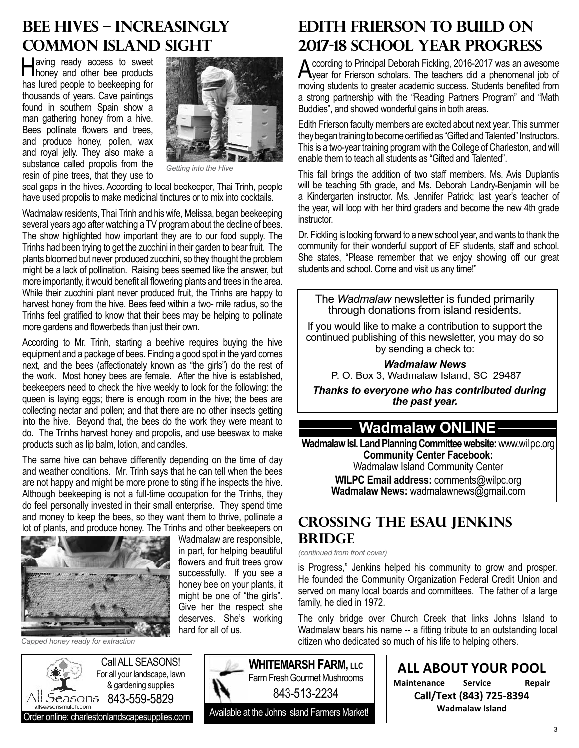# **Bee Hives – Increasingly Common Island Sight**

Having ready access to sweet honey and other bee products has lured people to beekeeping for thousands of years. Cave paintings found in southern Spain show a man gathering honey from a hive. Bees pollinate flowers and trees, and produce honey, pollen, wax and royal jelly. They also make a substance called propolis from the resin of pine trees, that they use to



*Getting into the Hive*

seal gaps in the hives. According to local beekeeper, Thai Trinh, people have used propolis to make medicinal tinctures or to mix into cocktails.

Wadmalaw residents, Thai Trinh and his wife, Melissa, began beekeeping several years ago after watching a TV program about the decline of bees. The show highlighted how important they are to our food supply. The Trinhs had been trying to get the zucchini in their garden to bear fruit. The plants bloomed but never produced zucchini, so they thought the problem might be a lack of pollination. Raising bees seemed like the answer, but more importantly, it would benefit all flowering plants and trees in the area. While their zucchini plant never produced fruit, the Trinhs are happy to harvest honey from the hive. Bees feed within a two- mile radius, so the Trinhs feel gratified to know that their bees may be helping to pollinate more gardens and flowerbeds than just their own.

According to Mr. Trinh, starting a beehive requires buying the hive equipment and a package of bees. Finding a good spot in the yard comes next, and the bees (affectionately known as "the girls") do the rest of the work. Most honey bees are female. After the hive is established, beekeepers need to check the hive weekly to look for the following: the queen is laying eggs; there is enough room in the hive; the bees are collecting nectar and pollen; and that there are no other insects getting into the hive. Beyond that, the bees do the work they were meant to do. The Trinhs harvest honey and propolis, and use beeswax to make products such as lip balm, lotion, and candles.

The same hive can behave differently depending on the time of day and weather conditions. Mr. Trinh says that he can tell when the bees are not happy and might be more prone to sting if he inspects the hive. Although beekeeping is not a full-time occupation for the Trinhs, they do feel personally invested in their small enterprise. They spend time and money to keep the bees, so they want them to thrive, pollinate a lot of plants, and produce honey. The Trinhs and other beekeepers on



Wadmalaw are responsible, in part, for helping beautiful flowers and fruit trees grow successfully. If you see a honey bee on your plants, it might be one of "the girls". Give her the respect she deserves. She's working hard for all of us.

#### *Capped honey ready for extraction*



# **Edith Frierson to Build On 2017-18 School Year Progress**

According to Principal Deborah Fickling, 2016-2017 was an awesome year for Frierson scholars. The teachers did a phenomenal job of moving students to greater academic success. Students benefited from a strong partnership with the "Reading Partners Program" and "Math Buddies", and showed wonderful gains in both areas.

Edith Frierson faculty members are excited about next year. This summer they began training to become certified as "Gifted and Talented" Instructors. This is a two-year training program with the College of Charleston, and will enable them to teach all students as "Gifted and Talented".

This fall brings the addition of two staff members. Ms. Avis Duplantis will be teaching 5th grade, and Ms. Deborah Landry-Benjamin will be a Kindergarten instructor. Ms. Jennifer Patrick; last year's teacher of the year, will loop with her third graders and become the new 4th grade instructor.

Dr. Fickling is looking forward to a new school year, and wants to thank the community for their wonderful support of EF students, staff and school. She states, "Please remember that we enjoy showing off our great students and school. Come and visit us any time!"

The *Wadmalaw* newsletter is funded primarily through donations from island residents.

If you would like to make a contribution to support the continued publishing of this newsletter, you may do so by sending a check to:

> *Wadmalaw News* P. O. Box 3, Wadmalaw Island, SC 29487

 *Thanks to everyone who has contributed during the past year.*

# **Wadmalaw ONLINE**

**Wadmalaw Isl. Land Planning Committee website:** www.wilpc.org **Community Center Facebook:** Wadmalaw Island Community Center

**WILPC Email address:** comments@wilpc.org Wadmalaw News: wadmalawnews@gmail.com

# **Crossing the esau jenkins bridge**

*(continued from front cover)*

843-513-2234

**WHITEMARSH FARM, LLC** Farm Fresh Gourmet Mushrooms

is Progress," Jenkins helped his community to grow and prosper. He founded the Community Organization Federal Credit Union and served on many local boards and committees. The father of a large family, he died in 1972.

The only bridge over Church Creek that links Johns Island to Wadmalaw bears his name -- a fitting tribute to an outstanding local citizen who dedicated so much of his life to helping others.

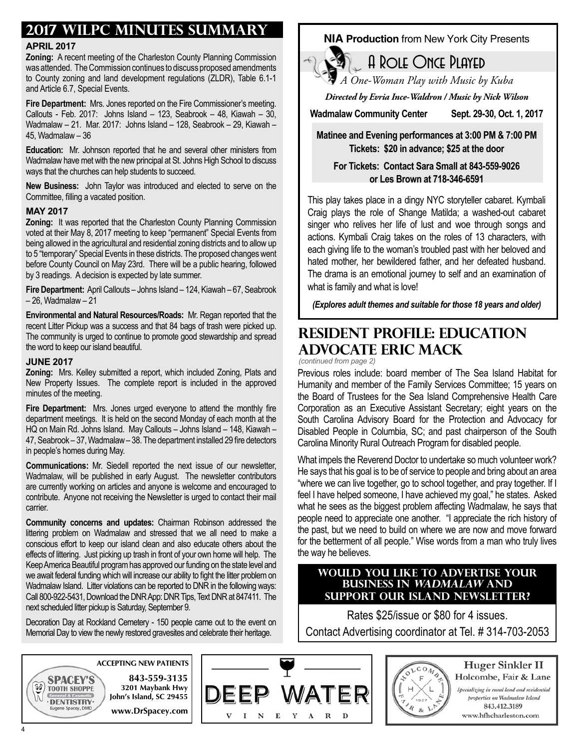# **2017 WILPC Minutes Summary**

#### **April 2017**

**Zoning:** A recent meeting of the Charleston County Planning Commission was attended. The Commission continues to discuss proposed amendments to County zoning and land development regulations (ZLDR), Table 6.1-1 and Article 6.7, Special Events.

**Fire Department:** Mrs. Jones reported on the Fire Commissioner's meeting. Callouts - Feb. 2017: Johns Island – 123, Seabrook – 48, Kiawah – 30, Wadmalaw – 21. Mar. 2017: Johns Island – 128, Seabrook – 29, Kiawah – 45, Wadmalaw – 36

**Education:** Mr. Johnson reported that he and several other ministers from Wadmalaw have met with the new principal at St. Johns High School to discuss ways that the churches can help students to succeed.

**New Business:** John Taylor was introduced and elected to serve on the Committee, filling a vacated position.

#### **May 2017**

**Zoning:** It was reported that the Charleston County Planning Commission voted at their May 8, 2017 meeting to keep "permanent" Special Events from being allowed in the agricultural and residential zoning districts and to allow up to 5 "temporary" Special Events in these districts. The proposed changes went before County Council on May 23rd. There will be a public hearing, followed by 3 readings. A decision is expected by late summer.

**Fire Department:** April Callouts – Johns Island – 124, Kiawah – 67, Seabrook – 26, Wadmalaw – 21

**Environmental and Natural Resources/Roads:** Mr. Regan reported that the recent Litter Pickup was a success and that 84 bags of trash were picked up. The community is urged to continue to promote good stewardship and spread the word to keep our island beautiful.

#### **June 2017**

**Zoning:** Mrs. Kelley submitted a report, which included Zoning, Plats and New Property Issues. The complete report is included in the approved minutes of the meeting.

**Fire Department:** Mrs. Jones urged everyone to attend the monthly fire department meetings. It is held on the second Monday of each month at the HQ on Main Rd. Johns Island. May Callouts – Johns Island – 148, Kiawah – 47, Seabrook – 37, Wadmalaw – 38. The department installed 29 fire detectors in people's homes during May.

**Communications:** Mr. Siedell reported the next issue of our newsletter, Wadmalaw, will be published in early August. The newsletter contributors are currently working on articles and anyone is welcome and encouraged to contribute. Anyone not receiving the Newsletter is urged to contact their mail carrier.

**Community concerns and updates:** Chairman Robinson addressed the littering problem on Wadmalaw and stressed that we all need to make a conscious effort to keep our island clean and also educate others about the effects of littering. Just picking up trash in front of your own home will help. The Keep America Beautiful program has approved our funding on the state level and we await federal funding which will increase our ability to fight the litter problem on Wadmalaw Island. Litter violations can be reported to DNR in the following ways: Call 800-922-5431, Download the DNR App: DNR Tips, Text DNR at 847411. The next scheduled litter pickup is Saturday, September 9.

Decoration Day at Rockland Cemetery - 150 people came out to the event on Memorial Day to view the newly restored gravesites and celebrate their heritage.

### **NIA Production** from New York City Presents

*A One-Woman Play with Music by Kuba*

A Role Once Played

*Directed by Evria Ince-Waldron / Music by Nick Wilson*

**Wadmalaw Community Center Sept. 29-30, Oct. 1, 2017**

**Matinee and Evening performances at 3:00 PM & 7:00 PM Tickets: \$20 in advance; \$25 at the door**

**For Tickets: Contact Sara Small at 843-559-9026 or Les Brown at 718-346-6591**

This play takes place in a dingy NYC storyteller cabaret. Kymbali Craig plays the role of Shange Matilda; a washed-out cabaret singer who relives her life of lust and woe through songs and actions. Kymbali Craig takes on the roles of 13 characters, with each giving life to the woman's troubled past with her beloved and hated mother, her bewildered father, and her defeated husband. The drama is an emotional journey to self and an examination of what is family and what is love!

*(Explores adult themes and suitable for those 18 years and older)*

# **Resident Profile: Education Advocate Eric Mack**

*(continued from page 2)*

Previous roles include: board member of The Sea Island Habitat for Humanity and member of the Family Services Committee; 15 years on the Board of Trustees for the Sea Island Comprehensive Health Care Corporation as an Executive Assistant Secretary; eight years on the South Carolina Advisory Board for the Protection and Advocacy for Disabled People in Columbia, SC; and past chairperson of the South Carolina Minority Rural Outreach Program for disabled people.

What impels the Reverend Doctor to undertake so much volunteer work? He says that his goal is to be of service to people and bring about an area "where we can live together, go to school together, and pray together. If I feel I have helped someone, I have achieved my goal," he states. Asked what he sees as the biggest problem affecting Wadmalaw, he says that people need to appreciate one another. "I appreciate the rich history of the past, but we need to build on where we are now and move forward for the betterment of all people." Wise words from a man who truly lives the way he believes.

### **Would you like to Advertise Your Business in Wadmalaw and support our island newsletter?**

Rates \$25/issue or \$80 for 4 issues. Contact Advertising coordinator at Tel. # 314-703-2053





#### Huger Sinkler II Holcombe, Fair & Lane Specializing in rural land and residential properties on Wadmalaw Island

843.412.3189 www.hfhcharleston.com

 $\widetilde{\mathcal{G}}$ 

**SPACEY'S** 

**TOOTH SHOPPE** 

· DENTISTRY·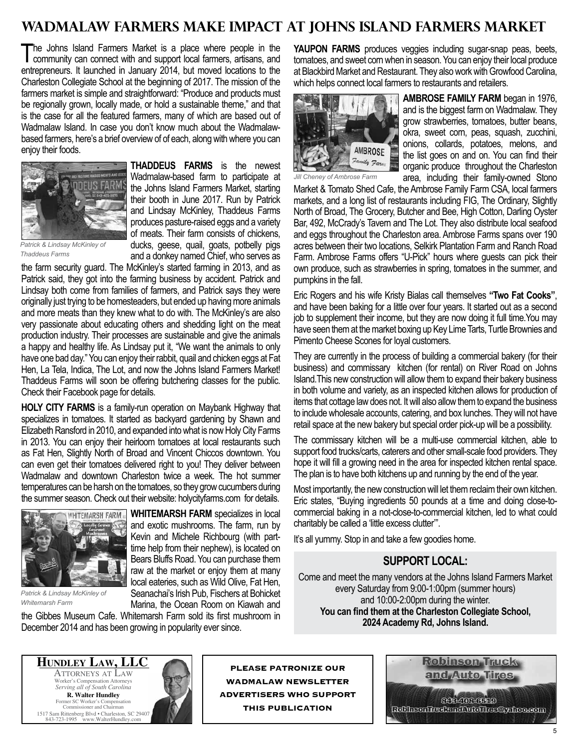# **Wadmalaw Farmers Make Impact at Johns Island Farmers Market**

The Johns Island Farmers Market is a place where people in the community can connect with and support local farmers, artisans, and entrepreneurs. It launched in January 2014, but moved locations to the Charleston Collegiate School at the beginning of 2017. The mission of the farmers market is simple and straightforward: "Produce and products must be regionally grown, locally made, or hold a sustainable theme," and that is the case for all the featured farmers, many of which are based out of Wadmalaw Island. In case you don't know much about the Wadmalawbased farmers, here's a brief overview of of each, along with where you can enjoy their foods.



**Thaddeus Farms** is the newest Wadmalaw-based farm to participate at the Johns Island Farmers Market, starting their booth in June 2017. Run by Patrick and Lindsay McKinley, Thaddeus Farms produces pasture-raised eggs and a variety of meats. Their farm consists of chickens, ducks, geese, quail, goats, potbelly pigs and a donkey named Chief, who serves as

*Patrick & Lindsay McKinley of Thaddeus Farms*

the farm security guard. The McKinley's started farming in 2013, and as Patrick said, they got into the farming business by accident. Patrick and Lindsay both come from families of farmers, and Patrick says they were originally just trying to be homesteaders, but ended up having more animals and more meats than they knew what to do with. The McKinley's are also very passionate about educating others and shedding light on the meat production industry. Their processes are sustainable and give the animals a happy and healthy life. As Lindsay put it, "We want the animals to only have one bad day." You can enjoy their rabbit, quail and chicken eggs at Fat Hen, La Tela, Indica, The Lot, and now the Johns Island Farmers Market! Thaddeus Farms will soon be offering butchering classes for the public. Check their Facebook page for details.

**HOLY CITY FARMS** is a family-run operation on Maybank Highway that specializes in tomatoes. It started as backyard gardening by Shawn and Elizabeth Ransford in 2010, and expanded into what is now Holy City Farms in 2013. You can enjoy their heirloom tomatoes at local restaurants such as Fat Hen, Slightly North of Broad and Vincent Chiccos downtown. You can even get their tomatoes delivered right to you! They deliver between Wadmalaw and downtown Charleston twice a week. The hot summer temperatures can be harsh on the tomatoes, so they grow cucumbers during the summer season. Check out their website: holycityfarms.com for details.



*Patrick & Lindsay McKinley of Whitemarsh Farm*

**WHITEMARSH FARM** specializes in local and exotic mushrooms. The farm, run by Kevin and Michele Richbourg (with parttime help from their nephew), is located on Bears Bluffs Road. You can purchase them raw at the market or enjoy them at many local eateries, such as Wild Olive, Fat Hen, Seanachai's Irish Pub, Fischers at Bohicket Marina, the Ocean Room on Kiawah and

the Gibbes Museum Cafe. Whitemarsh Farm sold its first mushroom in December 2014 and has been growing in popularity ever since.

**Yaupon Farms** produces veggies including sugar-snap peas, beets, tomatoes, and sweet corn when in season. You can enjoy their local produce at Blackbird Market and Restaurant. They also work with Growfood Carolina, which helps connect local farmers to restaurants and retailers.



**Ambrose Family Farm** began in 1976, and is the biggest farm on Wadmalaw. They grow strawberries, tomatoes, butter beans, okra, sweet corn, peas, squash, zucchini, onions, collards, potatoes, melons, and the list goes on and on. You can find their organic produce throughout the Charleston area, including their family-owned Stono

*Jill Cheney of Ambrose Farm*

Market & Tomato Shed Cafe, the Ambrose Family Farm CSA, local farmers markets, and a long list of restaurants including FIG, The Ordinary, Slightly North of Broad, The Grocery, Butcher and Bee, High Cotton, Darling Oyster Bar, 492, McCrady's Tavern and The Lot. They also distribute local seafood and eggs throughout the Charleston area. Ambrose Farms spans over 190 acres between their two locations, Selkirk Plantation Farm and Ranch Road Farm. Ambrose Farms offers "U-Pick" hours where guests can pick their own produce, such as strawberries in spring, tomatoes in the summer, and pumpkins in the fall.

Eric Rogers and his wife Kristy Bialas call themselves **"Two Fat Cooks"**, and have been baking for a little over four years. It started out as a second job to supplement their income, but they are now doing it full time.You may have seen them at the market boxing up Key Lime Tarts, Turtle Brownies and Pimento Cheese Scones for loyal customers.

They are currently in the process of building a commercial bakery (for their business) and commissary kitchen (for rental) on River Road on Johns Island.This new construction will allow them to expand their bakery business in both volume and variety, as an inspected kitchen allows for production of items that cottage law does not. It will also allow them to expand the business to include wholesale accounts, catering, and box lunches. They will not have retail space at the new bakery but special order pick-up will be a possibility.

The commissary kitchen will be a multi-use commercial kitchen, able to support food trucks/carts, caterers and other small-scale food providers. They hope it will fill a growing need in the area for inspected kitchen rental space. The plan is to have both kitchens up and running by the end of the year.

Most importantly, the new construction will let them reclaim their own kitchen. Eric states, "Buying ingredients 50 pounds at a time and doing close-tocommercial baking in a not-close-to-commercial kitchen, led to what could charitably be called a 'little excess clutter'".

It's all yummy. Stop in and take a few goodies home.

# **Support local:**

Come and meet the many vendors at the Johns Island Farmers Market every Saturday from 9:00-1:00pm (summer hours) and 10:00-2:00pm during the winter. **You can find them at the Charleston Collegiate School, 2024 Academy Rd, Johns Island.**



www.WalterHundley



**Please patronize our Wadmalaw Newsletter advertisers who support this publication**

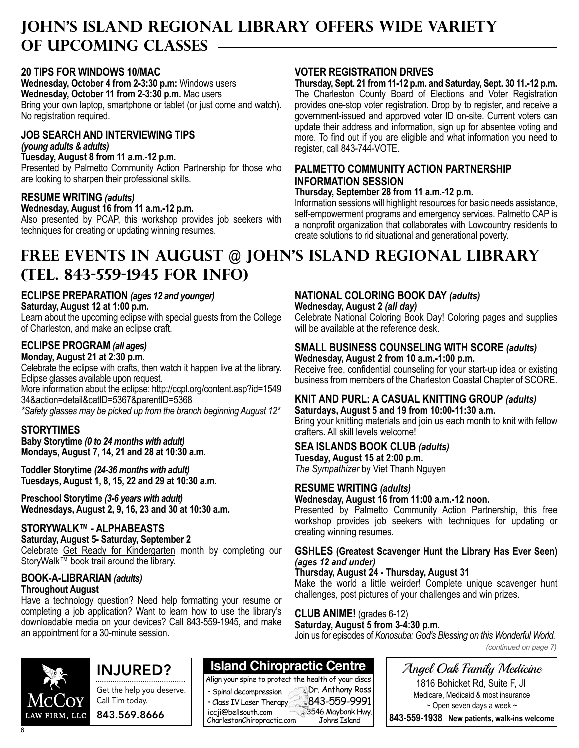# **John's Island Regional Library Offers Wide Variety of Upcoming Classes**

### **20 Tips for Windows 10/Mac**

**Wednesday, October 4 from 2-3:30 p.m:** Windows users **Wednesday, October 11 from 2-3:30 p.m.** Mac users Bring your own laptop, smartphone or tablet (or just come and watch). No registration required.

#### **Job Search and Interviewing Tips** *(young adults & adults)*

**Tuesday, August 8 from 11 a.m.-12 p.m.**

Presented by Palmetto Community Action Partnership for those who are looking to sharpen their professional skills.

### **Resume Writing** *(adults)*

**Wednesday, August 16 from 11 a.m.-12 p.m.** Also presented by PCAP, this workshop provides job seekers with techniques for creating or updating winning resumes.

### **Voter Registration Drives**

**Thursday, Sept. 21 from 11-12 p.m. and Saturday, Sept. 30 11.-12 p.m.** The Charleston County Board of Elections and Voter Registration provides one-stop voter registration. Drop by to register, and receive a government-issued and approved voter ID on-site. Current voters can update their address and information, sign up for absentee voting and more. To find out if you are eligible and what information you need to register, call 843-744-VOTE.

### **Palmetto Community Action Partnership Information Session**

#### **Thursday, September 28 from 11 a.m.-12 p.m.**

Information sessions will highlight resources for basic needs assistance, self-empowerment programs and emergency services. Palmetto CAP is a nonprofit organization that collaborates with Lowcountry residents to create solutions to rid situational and generational poverty.

# **FREE events in August @ John's Island Regional Library (Tel. 843-559-1945 for Info)**

# **Eclipse Preparation** *(ages 12 and younger)*

**Saturday, August 12 at 1:00 p.m.** 

Learn about the upcoming eclipse with special guests from the College of Charleston, and make an eclipse craft.

### **Eclipse Program** *(all ages)*

#### **Monday, August 21 at 2:30 p.m.**

Celebrate the eclipse with crafts, then watch it happen live at the library. Eclipse glasses available upon request.

More information about the eclipse: http://ccpl.org/content.asp?id=1549 34&action=detail&catID=5367&parentID=5368

*\*Safety glasses may be picked up from the branch beginning August 12\**

### **STORYTIMES**

**Baby Storytime** *(0 to 24 months with adult)* **Mondays, August 7, 14, 21 and 28 at 10:30 a.m**.

**Toddler Storytime** *(24-36 months with adult)* **Tuesdays, August 1, 8, 15, 22 and 29 at 10:30 a.m**.

**Preschool Storytime** *(3-6 years with adult)* **Wednesdays, August 2, 9, 16, 23 and 30 at 10:30 a.m.**

### **StoryWalk™ - Alphabeasts**

#### **Saturday, August 5- Saturday, September 2**

Celebrate Get Ready for Kindergarten month by completing our StoryWalk™ book trail around the library.

## **Book-a-Librarian** *(adults)*

#### **Throughout August**

Have a technology question? Need help formatting your resume or completing a job application? Want to learn how to use the library's downloadable media on your devices? Call 843-559-1945, and make an appointment for a 30-minute session.

# **National Coloring Book Day** *(adults)*

**Wednesday, August 2** *(all day)* Celebrate National Coloring Book Day! Coloring pages and supplies will be available at the reference desk.

#### **Small Business Counseling with SCORE** *(adults)* **Wednesday, August 2 from 10 a.m.-1:00 p.m.**

Receive free, confidential counseling for your start-up idea or existing business from members of the Charleston Coastal Chapter of SCORE.

#### **Knit and Purl: A Casual Knitting Group** *(adults)*  **Saturdays, August 5 and 19 from 10:00-11:30 a.m.**

Bring your knitting materials and join us each month to knit with fellow crafters. All skill levels welcome!

### **Sea Islands Book Club** *(adults)*

**Tuesday, August 15 at 2:00 p.m.** *The Sympathizer* by Viet Thanh Nguyen

### **Resume Writing** *(adults)*

**Wednesday, August 16 from 11:00 a.m.-12 noon.**

Presented by Palmetto Community Action Partnership, this free workshop provides job seekers with techniques for updating or creating winning resumes.

#### **GSHLES (Greatest Scavenger Hunt the Library Has Ever Seen)**  *(ages 12 and under)*

### **Thursday, August 24 - Thursday, August 31**

Make the world a little weirder! Complete unique scavenger hunt challenges, post pictures of your challenges and win prizes.

### **Club Anime!** (grades 6-12)

**Dr. Anthony Ross** 

**Saturday, August 5 from 3-4:30 p.m.** Join us for episodes of *Konosuba: God's Blessing on this Wonderful World.* 

*(continued on page 7)*

LAW FIRM, LLC

6

# INJURED?



**Island Chiropractic Centre**

Align your spine to protect the health of your discs • Spinal decompression

 $\cdot$  Class IV Laser Therapy  $\sim$  843-559-9991 CharlestonChiropractic.com 3546 Maybank Hwy. Johns Island iccji@bellsouth.com

Angel Oak Family Medicine 1816 Bohicket Rd, Suite F, JI

Medicare, Medicaid & most insurance  $\sim$  Open seven days a week  $\sim$ 

**843-559-1938 New patients, walk-ins welcome**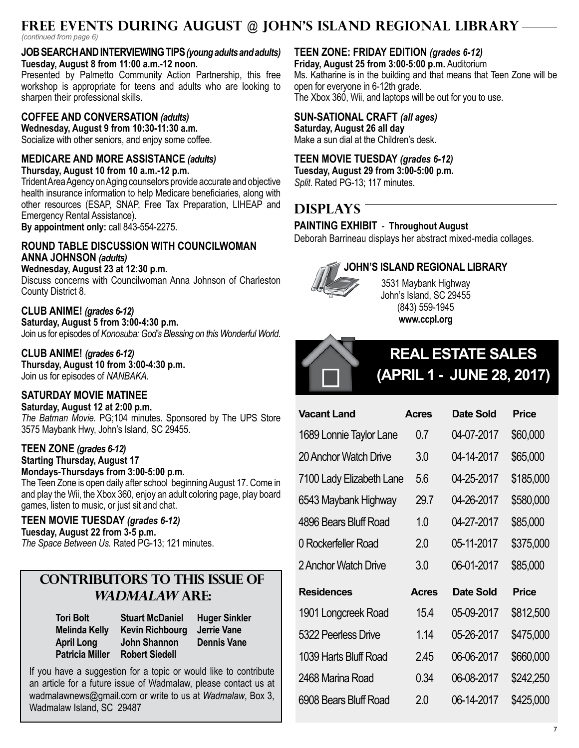# **FREE events during August @ John's Island Regional Library**

*(continued from page 6)*

#### **Job Searchand Interviewing Tips***(young adults and adults)* **Tuesday, August 8 from 11:00 a.m.-12 noon.**

Presented by Palmetto Community Action Partnership, this free workshop is appropriate for teens and adults who are looking to sharpen their professional skills.

# **Coffee and Conversation** *(adults)*

**Wednesday, August 9 from 10:30-11:30 a.m.**  Socialize with other seniors, and enjoy some coffee.

# **Medicare and More Assistance** *(adults)*

**Thursday, August 10 from 10 a.m.-12 p.m.**

Trident Area Agency on Aging counselors provide accurate and objective health insurance information to help Medicare beneficiaries, along with other resources (ESAP, SNAP, Free Tax Preparation, LIHEAP and Emergency Rental Assistance).

**By appointment only:** call 843-554-2275.

### **Round Table Discussion with Councilwoman Anna Johnson** *(adults)*

**Wednesday, August 23 at 12:30 p.m.** 

Discuss concerns with Councilwoman Anna Johnson of Charleston County District 8.

# **Club Anime!** *(grades 6-12)*

**Saturday, August 5 from 3:00-4:30 p.m.** Join us for episodes of *Konosuba: God's Blessing on this Wonderful World.* 

# **Club Anime!** *(grades 6-12)*

**Thursday, August 10 from 3:00-4:30 p.m.** Join us for episodes of *NANBAKA*.

# **Saturday Movie Matinee**

**Saturday, August 12 at 2:00 p.m.** *The Batman Movie.* PG;104 minutes. Sponsored by The UPS Store 3575 Maybank Hwy, John's Island, SC 29455.

# **Teen Zone** *(grades 6-12)*

**Starting Thursday, August 17**

**Mondays-Thursdays from 3:00-5:00 p.m.** The Teen Zone is open daily after school beginning August 17. Come in and play the Wii, the Xbox 360, enjoy an adult coloring page, play board games, listen to music, or just sit and chat.

# **Teen Movie Tuesday** *(grades 6-12)*

**Tuesday, August 22 from 3-5 p.m.**

*The Space Between Us.* Rated PG-13; 121 minutes.

# **Contributors to this issue of Wadmalaw are:**

**Tori Bolt Melinda Kelly April Long Patricia Miller Robert Siedell**

**Stuart McDaniel Kevin Richbourg Jerrie Vane John Shannon**

**Huger Sinkler Dennis Vane**

If you have a suggestion for a topic or would like to contribute an article for a future issue of Wadmalaw, please contact us at wadmalawnews@gmail.com or write to us at *Wadmalaw*, Box 3, Wadmalaw Island, SC 29487

# **Teen Zone: Friday Edition** *(grades 6-12)*

**Friday, August 25 from 3:00-5:00 p.m.** Auditorium Ms. Katharine is in the building and that means that Teen Zone will be open for everyone in 6-12th grade. The Xbox 360, Wii, and laptops will be out for you to use.

# **Sun-Sational Craft** *(all ages)*

**Saturday, August 26 all day** Make a sun dial at the Children's desk.

# **Teen Movie Tuesday** *(grades 6-12)*

**Tuesday, August 29 from 3:00-5:00 p.m.** *Split*. Rated PG-13; 117 minutes.

# **DISPLAYS**

### **Painting Exhibit** - **Throughout August**

Deborah Barrineau displays her abstract mixed-media collages.



# **John's Island Regional Library**

3531 Maybank Highway John's Island, SC 29455 (843) 559-1945 **www.ccpl.org**



# **Real Estate Sales (April 1 - June 28, 2017)**

| <b>Vacant Land</b>       | <b>Acres</b> | Date Sold  | Price     |
|--------------------------|--------------|------------|-----------|
| 1689 Lonnie Taylor Lane  | 0.7          | 04-07-2017 | \$60,000  |
| 20 Anchor Watch Drive    | 3.0          | 04-14-2017 | \$65,000  |
| 7100 Lady Elizabeth Lane | 5.6          | 04-25-2017 | \$185,000 |
| 6543 Maybank Highway     | 29.7         | 04-26-2017 | \$580,000 |
| 4896 Bears Bluff Road    | 1.0          | 04-27-2017 | \$85,000  |
| 0 Rockerfeller Road      | 2.0          | 05-11-2017 | \$375,000 |
| 2 Anchor Watch Drive     | 3.0          | 06-01-2017 | \$85,000  |
| <b>Residences</b>        | <b>Acres</b> | Date Sold  | Price     |
| 1901 Longcreek Road      | 15.4         | 05-09-2017 | \$812,500 |
| 5322 Peerless Drive      | 1.14         | 05-26-2017 | \$475,000 |
| 1039 Harts Bluff Road    | 2.45         | 06-06-2017 | \$660,000 |
| 2468 Marina Road         | 0.34         | 06-08-2017 | \$242,250 |
| 6908 Bears Bluff Road    | 2.0          | 06-14-2017 | \$425,000 |